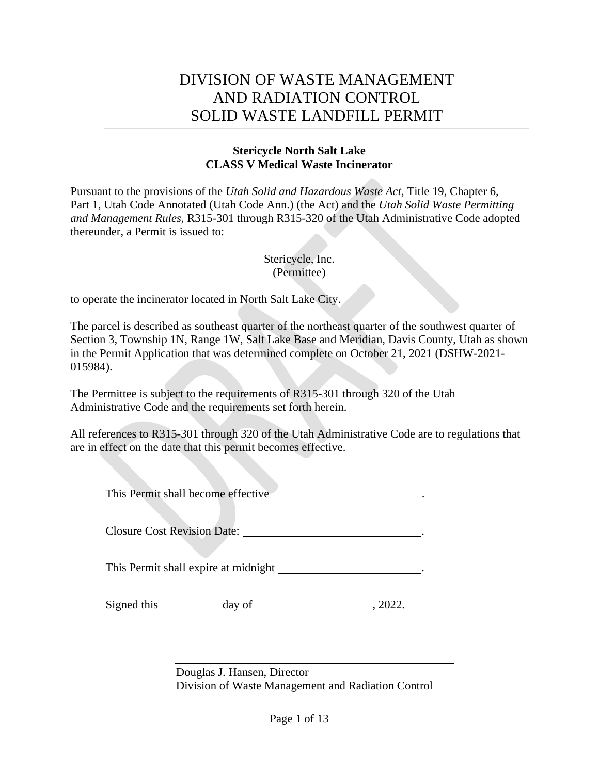# DIVISION OF WASTE MANAGEMENT AND RADIATION CONTROL SOLID WASTE LANDFILL PERMIT

### **Stericycle North Salt Lake CLASS V Medical Waste Incinerator**

Pursuant to the provisions of the *Utah Solid and Hazardous Waste Act*, Title 19, Chapter 6, Part 1, Utah Code Annotated (Utah Code Ann.) (the Act) and the *Utah Solid Waste Permitting and Management Rules*, R315-301 through R315-320 of the Utah Administrative Code adopted thereunder, a Permit is issued to:

### Stericycle, Inc. (Permittee)

to operate the incinerator located in North Salt Lake City.

The parcel is described as southeast quarter of the northeast quarter of the southwest quarter of Section 3, Township 1N, Range 1W, Salt Lake Base and Meridian, Davis County, Utah as shown in the Permit Application that was determined complete on October 21, 2021 (DSHW-2021- 015984).

The Permittee is subject to the requirements of R315-301 through 320 of the Utah Administrative Code and the requirements set forth herein.

All references to R315-301 through 320 of the Utah Administrative Code are to regulations that are in effect on the date that this permit becomes effective.

This Permit shall become effective .

Closure Cost Revision Date: .

This Permit shall expire at midnight **.** 

Signed this day of , 2022.

Douglas J. Hansen, Director Division of Waste Management and Radiation Control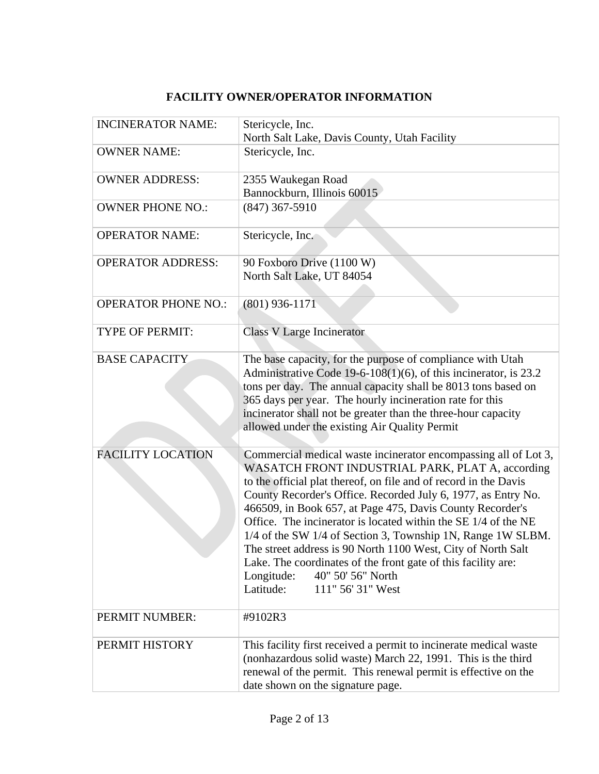## **FACILITY OWNER/OPERATOR INFORMATION**

| <b>INCINERATOR NAME:</b>   | Stericycle, Inc.<br>North Salt Lake, Davis County, Utah Facility                                                                                                                                                                                                                                                                                                                                                                                                                                                                                                                                                                                             |
|----------------------------|--------------------------------------------------------------------------------------------------------------------------------------------------------------------------------------------------------------------------------------------------------------------------------------------------------------------------------------------------------------------------------------------------------------------------------------------------------------------------------------------------------------------------------------------------------------------------------------------------------------------------------------------------------------|
| <b>OWNER NAME:</b>         | Stericycle, Inc.                                                                                                                                                                                                                                                                                                                                                                                                                                                                                                                                                                                                                                             |
| <b>OWNER ADDRESS:</b>      | 2355 Waukegan Road<br>Bannockburn, Illinois 60015                                                                                                                                                                                                                                                                                                                                                                                                                                                                                                                                                                                                            |
| <b>OWNER PHONE NO.:</b>    | $(847)$ 367-5910                                                                                                                                                                                                                                                                                                                                                                                                                                                                                                                                                                                                                                             |
| <b>OPERATOR NAME:</b>      | Stericycle, Inc.                                                                                                                                                                                                                                                                                                                                                                                                                                                                                                                                                                                                                                             |
| <b>OPERATOR ADDRESS:</b>   | 90 Foxboro Drive (1100 W)<br>North Salt Lake, UT 84054                                                                                                                                                                                                                                                                                                                                                                                                                                                                                                                                                                                                       |
| <b>OPERATOR PHONE NO.:</b> | $(801)$ 936-1171                                                                                                                                                                                                                                                                                                                                                                                                                                                                                                                                                                                                                                             |
| <b>TYPE OF PERMIT:</b>     | <b>Class V Large Incinerator</b>                                                                                                                                                                                                                                                                                                                                                                                                                                                                                                                                                                                                                             |
| <b>BASE CAPACITY</b>       | The base capacity, for the purpose of compliance with Utah<br>Administrative Code 19-6-108(1)(6), of this incinerator, is 23.2<br>tons per day. The annual capacity shall be 8013 tons based on<br>365 days per year. The hourly incineration rate for this<br>incinerator shall not be greater than the three-hour capacity<br>allowed under the existing Air Quality Permit                                                                                                                                                                                                                                                                                |
| <b>FACILITY LOCATION</b>   | Commercial medical waste incinerator encompassing all of Lot 3,<br>WASATCH FRONT INDUSTRIAL PARK, PLAT A, according<br>to the official plat thereof, on file and of record in the Davis<br>County Recorder's Office. Recorded July 6, 1977, as Entry No.<br>466509, in Book 657, at Page 475, Davis County Recorder's<br>Office. The incinerator is located within the SE 1/4 of the NE<br>1/4 of the SW 1/4 of Section 3, Township 1N, Range 1W SLBM.<br>The street address is 90 North 1100 West, City of North Salt<br>Lake. The coordinates of the front gate of this facility are:<br>40" 50' 56" North<br>Longitude:<br>Latitude:<br>111" 56' 31" West |
| PERMIT NUMBER:             | #9102R3                                                                                                                                                                                                                                                                                                                                                                                                                                                                                                                                                                                                                                                      |
| PERMIT HISTORY             | This facility first received a permit to incinerate medical waste<br>(nonhazardous solid waste) March 22, 1991. This is the third<br>renewal of the permit. This renewal permit is effective on the<br>date shown on the signature page.                                                                                                                                                                                                                                                                                                                                                                                                                     |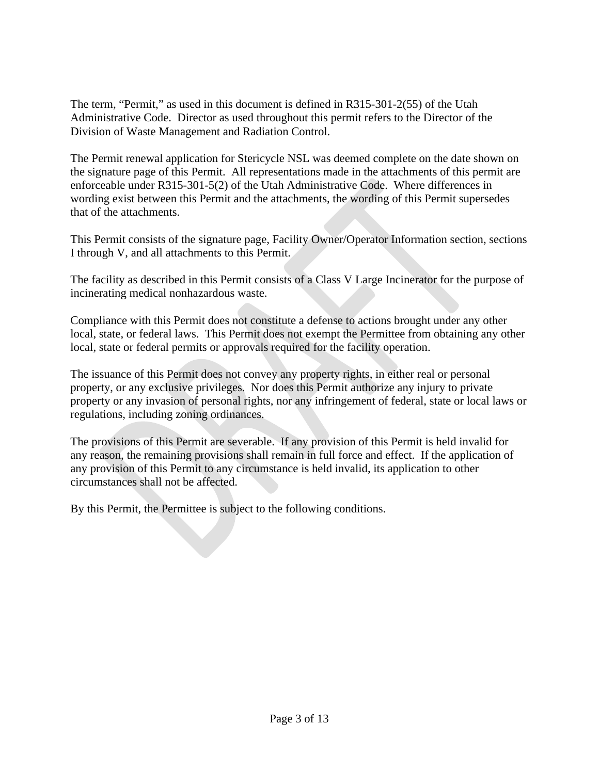The term, "Permit," as used in this document is defined in R315-301-2(55) of the Utah Administrative Code. Director as used throughout this permit refers to the Director of the Division of Waste Management and Radiation Control.

The Permit renewal application for Stericycle NSL was deemed complete on the date shown on the signature page of this Permit. All representations made in the attachments of this permit are enforceable under R315-301-5(2) of the Utah Administrative Code. Where differences in wording exist between this Permit and the attachments, the wording of this Permit supersedes that of the attachments.

This Permit consists of the signature page, Facility Owner/Operator Information section, sections I through V, and all attachments to this Permit.

The facility as described in this Permit consists of a Class V Large Incinerator for the purpose of incinerating medical nonhazardous waste.

Compliance with this Permit does not constitute a defense to actions brought under any other local, state, or federal laws. This Permit does not exempt the Permittee from obtaining any other local, state or federal permits or approvals required for the facility operation.

The issuance of this Permit does not convey any property rights, in either real or personal property, or any exclusive privileges. Nor does this Permit authorize any injury to private property or any invasion of personal rights, nor any infringement of federal, state or local laws or regulations, including zoning ordinances.

The provisions of this Permit are severable. If any provision of this Permit is held invalid for any reason, the remaining provisions shall remain in full force and effect. If the application of any provision of this Permit to any circumstance is held invalid, its application to other circumstances shall not be affected.

By this Permit, the Permittee is subject to the following conditions.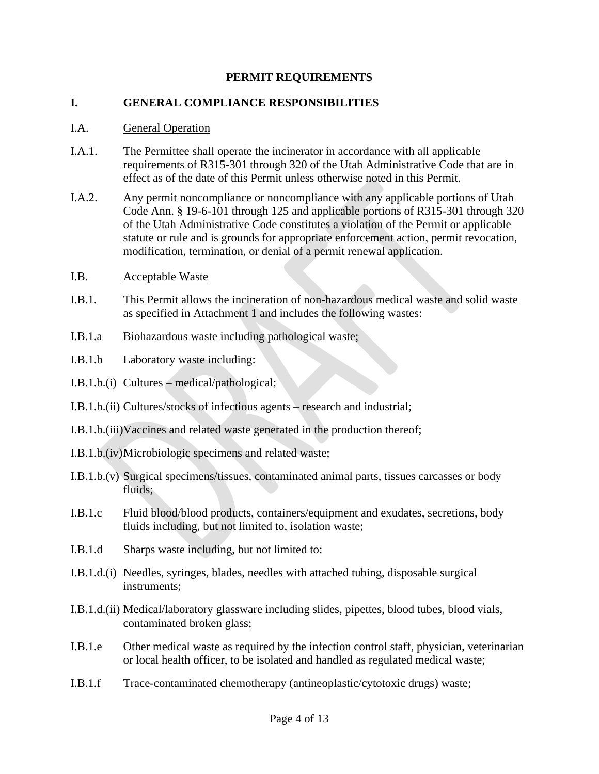### **PERMIT REQUIREMENTS**

### **I. GENERAL COMPLIANCE RESPONSIBILITIES**

#### I.A. General Operation

- I.A.1. The Permittee shall operate the incinerator in accordance with all applicable requirements of R315-301 through 320 of the Utah Administrative Code that are in effect as of the date of this Permit unless otherwise noted in this Permit.
- I.A.2. Any permit noncompliance or noncompliance with any applicable portions of Utah Code Ann. § 19-6-101 through 125 and applicable portions of R315-301 through 320 of the Utah Administrative Code constitutes a violation of the Permit or applicable statute or rule and is grounds for appropriate enforcement action, permit revocation, modification, termination, or denial of a permit renewal application.
- I.B. Acceptable Waste
- I.B.1. This Permit allows the incineration of non-hazardous medical waste and solid waste as specified in Attachment 1 and includes the following wastes:
- I.B.1.a Biohazardous waste including pathological waste;
- I.B.1.b Laboratory waste including:
- I.B.1.b.(i) Cultures medical/pathological;
- I.B.1.b.(ii) Cultures/stocks of infectious agents research and industrial;
- I.B.1.b.(iii)Vaccines and related waste generated in the production thereof;
- I.B.1.b.(iv)Microbiologic specimens and related waste;
- I.B.1.b.(v) Surgical specimens/tissues, contaminated animal parts, tissues carcasses or body fluids;
- I.B.1.c Fluid blood/blood products, containers/equipment and exudates, secretions, body fluids including, but not limited to, isolation waste;
- I.B.1.d Sharps waste including, but not limited to:
- I.B.1.d.(i) Needles, syringes, blades, needles with attached tubing, disposable surgical instruments;
- I.B.1.d.(ii) Medical/laboratory glassware including slides, pipettes, blood tubes, blood vials, contaminated broken glass;
- I.B.1.e Other medical waste as required by the infection control staff, physician, veterinarian or local health officer, to be isolated and handled as regulated medical waste;
- I.B.1.f Trace-contaminated chemotherapy (antineoplastic/cytotoxic drugs) waste;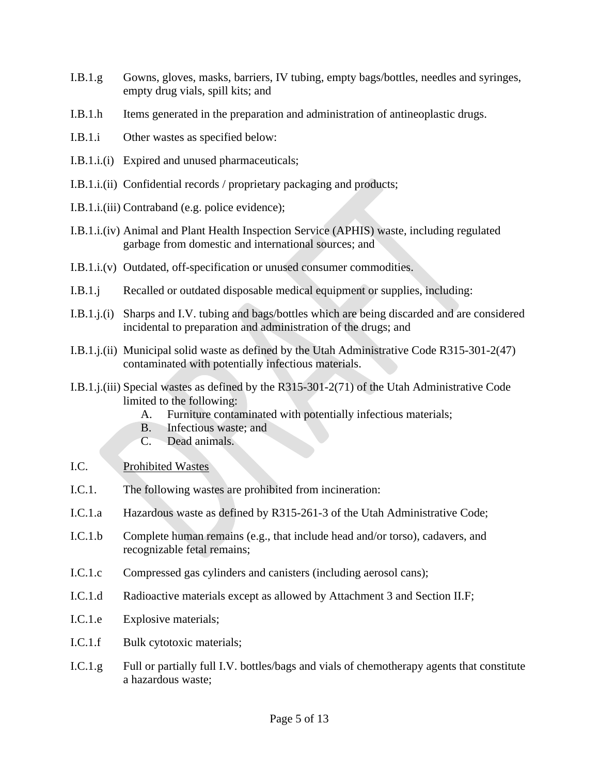- I.B.1.g Gowns, gloves, masks, barriers, IV tubing, empty bags/bottles, needles and syringes, empty drug vials, spill kits; and
- I.B.1.h Items generated in the preparation and administration of antineoplastic drugs.
- I.B.1.i Other wastes as specified below:
- I.B.1.i.(i) Expired and unused pharmaceuticals;
- I.B.1.i.(ii) Confidential records / proprietary packaging and products;
- I.B.1.i.(iii) Contraband (e.g. police evidence);
- I.B.1.i.(iv) Animal and Plant Health Inspection Service (APHIS) waste, including regulated garbage from domestic and international sources; and
- I.B.1.i.(v) Outdated, off-specification or unused consumer commodities.
- I.B.1.j Recalled or outdated disposable medical equipment or supplies, including:
- I.B.1.j.(i) Sharps and I.V. tubing and bags/bottles which are being discarded and are considered incidental to preparation and administration of the drugs; and
- I.B.1.j.(ii) Municipal solid waste as defined by the Utah Administrative Code R315-301-2(47) contaminated with potentially infectious materials.
- I.B.1.j.(iii) Special wastes as defined by the R315-301-2(71) of the Utah Administrative Code limited to the following:
	- A. Furniture contaminated with potentially infectious materials;
	- B. Infectious waste; and
	- C. Dead animals.
- I.C. Prohibited Wastes
- I.C.1. The following wastes are prohibited from incineration:
- I.C.1.a Hazardous waste as defined by R315-261-3 of the Utah Administrative Code;
- I.C.1.b Complete human remains (e.g., that include head and/or torso), cadavers, and recognizable fetal remains;
- I.C.1.c Compressed gas cylinders and canisters (including aerosol cans);
- I.C.1.d Radioactive materials except as allowed by Attachment 3 and Section II.F;
- I.C.1.e Explosive materials;
- I.C.1.f Bulk cytotoxic materials;
- I.C.1.g Full or partially full I.V. bottles/bags and vials of chemotherapy agents that constitute a hazardous waste;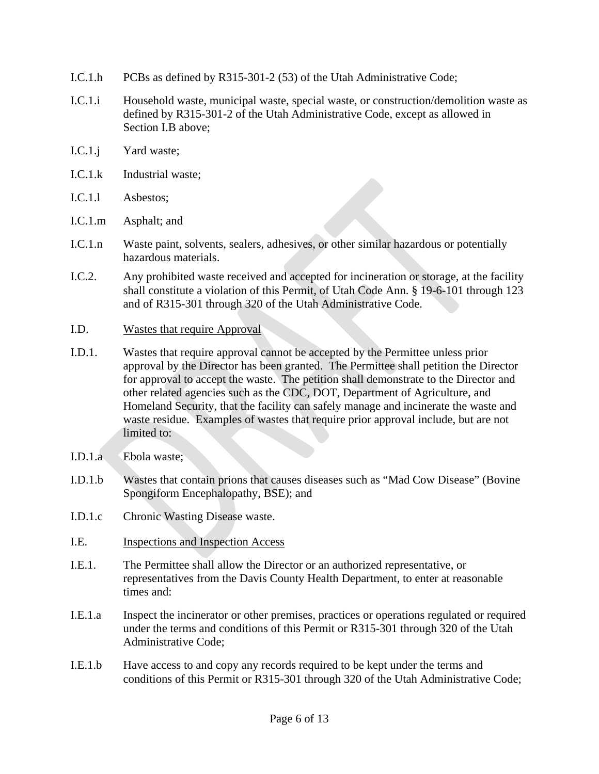- I.C.1.h PCBs as defined by R315-301-2 (53) of the Utah Administrative Code;
- I.C.1.i Household waste, municipal waste, special waste, or construction/demolition waste as defined by R315-301-2 of the Utah Administrative Code, except as allowed in Section I.B above;
- I.C.1.j Yard waste;
- I.C.1.k Industrial waste;
- I.C.1.l Asbestos;
- I.C.1.m Asphalt; and
- I.C.1.n Waste paint, solvents, sealers, adhesives, or other similar hazardous or potentially hazardous materials.
- I.C.2. Any prohibited waste received and accepted for incineration or storage, at the facility shall constitute a violation of this Permit, of Utah Code Ann. § 19-6-101 through 123 and of R315-301 through 320 of the Utah Administrative Code.
- I.D. Wastes that require Approval
- I.D.1. Wastes that require approval cannot be accepted by the Permittee unless prior approval by the Director has been granted. The Permittee shall petition the Director for approval to accept the waste. The petition shall demonstrate to the Director and other related agencies such as the CDC, DOT, Department of Agriculture, and Homeland Security, that the facility can safely manage and incinerate the waste and waste residue. Examples of wastes that require prior approval include, but are not limited to:
- I.D.1.a Ebola waste;
- I.D.1.b Wastes that contain prions that causes diseases such as "Mad Cow Disease" (Bovine Spongiform Encephalopathy, BSE); and
- I.D.1.c Chronic Wasting Disease waste.
- I.E. Inspections and Inspection Access
- I.E.1. The Permittee shall allow the Director or an authorized representative, or representatives from the Davis County Health Department, to enter at reasonable times and:
- I.E.1.a Inspect the incinerator or other premises, practices or operations regulated or required under the terms and conditions of this Permit or R315-301 through 320 of the Utah Administrative Code;
- I.E.1.b Have access to and copy any records required to be kept under the terms and conditions of this Permit or R315-301 through 320 of the Utah Administrative Code;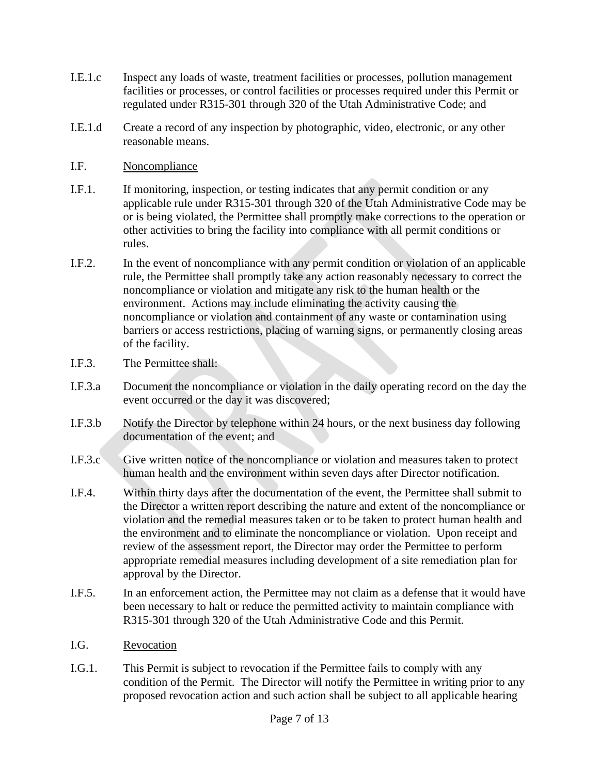- I.E.1.c Inspect any loads of waste, treatment facilities or processes, pollution management facilities or processes, or control facilities or processes required under this Permit or regulated under R315-301 through 320 of the Utah Administrative Code; and
- I.E.1.d Create a record of any inspection by photographic, video, electronic, or any other reasonable means.
- I.F. Noncompliance
- I.F.1. If monitoring, inspection, or testing indicates that any permit condition or any applicable rule under R315-301 through 320 of the Utah Administrative Code may be or is being violated, the Permittee shall promptly make corrections to the operation or other activities to bring the facility into compliance with all permit conditions or rules.
- I.F.2. In the event of noncompliance with any permit condition or violation of an applicable rule, the Permittee shall promptly take any action reasonably necessary to correct the noncompliance or violation and mitigate any risk to the human health or the environment. Actions may include eliminating the activity causing the noncompliance or violation and containment of any waste or contamination using barriers or access restrictions, placing of warning signs, or permanently closing areas of the facility.
- I.F.3. The Permittee shall:
- I.F.3.a Document the noncompliance or violation in the daily operating record on the day the event occurred or the day it was discovered;
- I.F.3.b Notify the Director by telephone within 24 hours, or the next business day following documentation of the event; and
- I.F.3.c Give written notice of the noncompliance or violation and measures taken to protect human health and the environment within seven days after Director notification.
- I.F.4. Within thirty days after the documentation of the event, the Permittee shall submit to the Director a written report describing the nature and extent of the noncompliance or violation and the remedial measures taken or to be taken to protect human health and the environment and to eliminate the noncompliance or violation. Upon receipt and review of the assessment report, the Director may order the Permittee to perform appropriate remedial measures including development of a site remediation plan for approval by the Director.
- I.F.5. In an enforcement action, the Permittee may not claim as a defense that it would have been necessary to halt or reduce the permitted activity to maintain compliance with R315-301 through 320 of the Utah Administrative Code and this Permit.
- I.G. Revocation
- I.G.1. This Permit is subject to revocation if the Permittee fails to comply with any condition of the Permit. The Director will notify the Permittee in writing prior to any proposed revocation action and such action shall be subject to all applicable hearing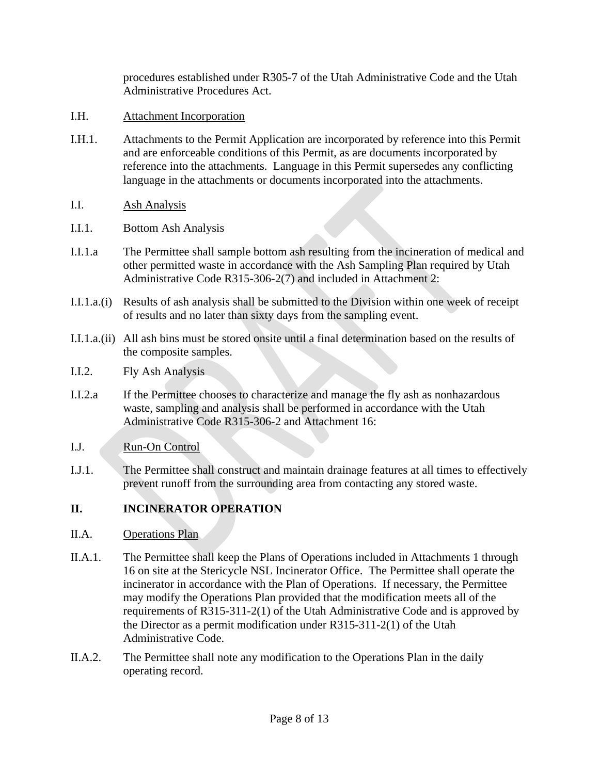procedures established under R305-7 of the Utah Administrative Code and the Utah Administrative Procedures Act.

- I.H. Attachment Incorporation
- I.H.1. Attachments to the Permit Application are incorporated by reference into this Permit and are enforceable conditions of this Permit, as are documents incorporated by reference into the attachments. Language in this Permit supersedes any conflicting language in the attachments or documents incorporated into the attachments.
- I.I. Ash Analysis
- I.I.1. Bottom Ash Analysis
- I.I.1.a The Permittee shall sample bottom ash resulting from the incineration of medical and other permitted waste in accordance with the Ash Sampling Plan required by Utah Administrative Code R315-306-2(7) and included in Attachment 2:
- I.I.1.a.(i) Results of ash analysis shall be submitted to the Division within one week of receipt of results and no later than sixty days from the sampling event.
- I.I.1.a.(ii) All ash bins must be stored onsite until a final determination based on the results of the composite samples.
- I.I.2. Fly Ash Analysis
- I.I.2.a If the Permittee chooses to characterize and manage the fly ash as nonhazardous waste, sampling and analysis shall be performed in accordance with the Utah Administrative Code R315-306-2 and Attachment 16:

### I.J. Run-On Control

I.J.1. The Permittee shall construct and maintain drainage features at all times to effectively prevent runoff from the surrounding area from contacting any stored waste.

### **II. INCINERATOR OPERATION**

- II.A. Operations Plan
- II.A.1. The Permittee shall keep the Plans of Operations included in Attachments 1 through 16 on site at the Stericycle NSL Incinerator Office. The Permittee shall operate the incinerator in accordance with the Plan of Operations. If necessary, the Permittee may modify the Operations Plan provided that the modification meets all of the requirements of R315-311-2(1) of the Utah Administrative Code and is approved by the Director as a permit modification under R315-311-2(1) of the Utah Administrative Code.
- II.A.2. The Permittee shall note any modification to the Operations Plan in the daily operating record.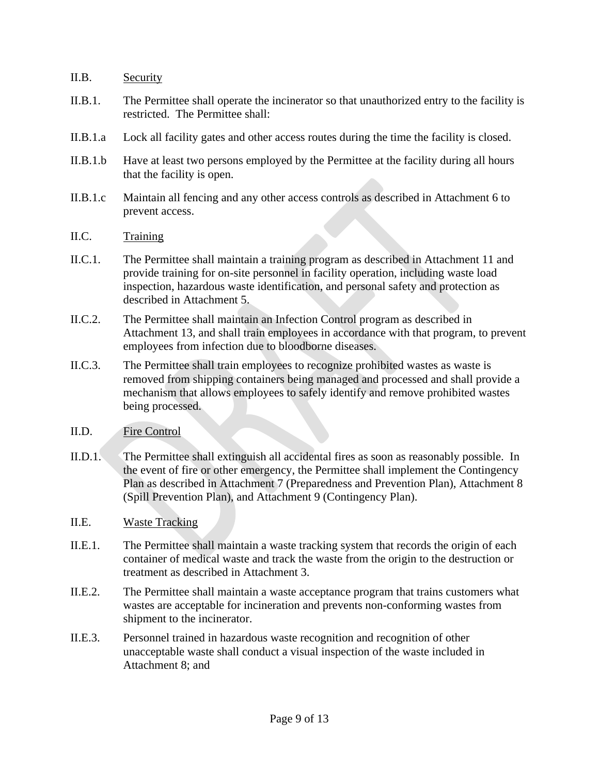### II.B. Security

- II.B.1. The Permittee shall operate the incinerator so that unauthorized entry to the facility is restricted. The Permittee shall:
- II.B.1.a Lock all facility gates and other access routes during the time the facility is closed.
- II.B.1.b Have at least two persons employed by the Permittee at the facility during all hours that the facility is open.
- II.B.1.c Maintain all fencing and any other access controls as described in Attachment 6 to prevent access.
- II.C. Training
- II.C.1. The Permittee shall maintain a training program as described in Attachment 11 and provide training for on-site personnel in facility operation, including waste load inspection, hazardous waste identification, and personal safety and protection as described in Attachment 5.
- II.C.2. The Permittee shall maintain an Infection Control program as described in Attachment 13, and shall train employees in accordance with that program, to prevent employees from infection due to bloodborne diseases.
- II.C.3. The Permittee shall train employees to recognize prohibited wastes as waste is removed from shipping containers being managed and processed and shall provide a mechanism that allows employees to safely identify and remove prohibited wastes being processed.
- II.D. Fire Control
- II.D.1. The Permittee shall extinguish all accidental fires as soon as reasonably possible. In the event of fire or other emergency, the Permittee shall implement the Contingency Plan as described in Attachment 7 (Preparedness and Prevention Plan), Attachment 8 (Spill Prevention Plan), and Attachment 9 (Contingency Plan).
- II.E. Waste Tracking
- II.E.1. The Permittee shall maintain a waste tracking system that records the origin of each container of medical waste and track the waste from the origin to the destruction or treatment as described in Attachment 3.
- II.E.2. The Permittee shall maintain a waste acceptance program that trains customers what wastes are acceptable for incineration and prevents non-conforming wastes from shipment to the incinerator.
- II.E.3. Personnel trained in hazardous waste recognition and recognition of other unacceptable waste shall conduct a visual inspection of the waste included in Attachment 8; and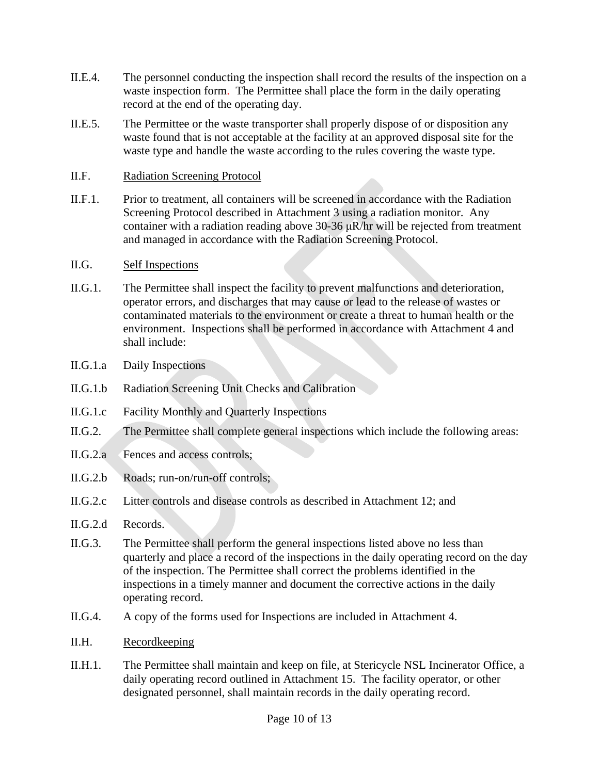- II.E.4. The personnel conducting the inspection shall record the results of the inspection on a waste inspection form. The Permittee shall place the form in the daily operating record at the end of the operating day.
- II.E.5. The Permittee or the waste transporter shall properly dispose of or disposition any waste found that is not acceptable at the facility at an approved disposal site for the waste type and handle the waste according to the rules covering the waste type.
- II.F. Radiation Screening Protocol
- II.F.1. Prior to treatment, all containers will be screened in accordance with the Radiation Screening Protocol described in Attachment 3 using a radiation monitor. Any container with a radiation reading above  $30-36 \mu R/hr$  will be rejected from treatment and managed in accordance with the Radiation Screening Protocol.
- II.G. Self Inspections
- II.G.1. The Permittee shall inspect the facility to prevent malfunctions and deterioration, operator errors, and discharges that may cause or lead to the release of wastes or contaminated materials to the environment or create a threat to human health or the environment. Inspections shall be performed in accordance with Attachment 4 and shall include:
- II.G.1.a Daily Inspections
- II.G.1.b Radiation Screening Unit Checks and Calibration
- II.G.1.c Facility Monthly and Quarterly Inspections
- II.G.2. The Permittee shall complete general inspections which include the following areas:
- II.G.2.a Fences and access controls;
- II.G.2.b Roads; run-on/run-off controls;
- II.G.2.c Litter controls and disease controls as described in Attachment 12; and
- II.G.2.d Records.
- II.G.3. The Permittee shall perform the general inspections listed above no less than quarterly and place a record of the inspections in the daily operating record on the day of the inspection. The Permittee shall correct the problems identified in the inspections in a timely manner and document the corrective actions in the daily operating record.
- II.G.4. A copy of the forms used for Inspections are included in Attachment 4.
- II.H. Recordkeeping
- II.H.1. The Permittee shall maintain and keep on file, at Stericycle NSL Incinerator Office, a daily operating record outlined in Attachment 15. The facility operator, or other designated personnel, shall maintain records in the daily operating record.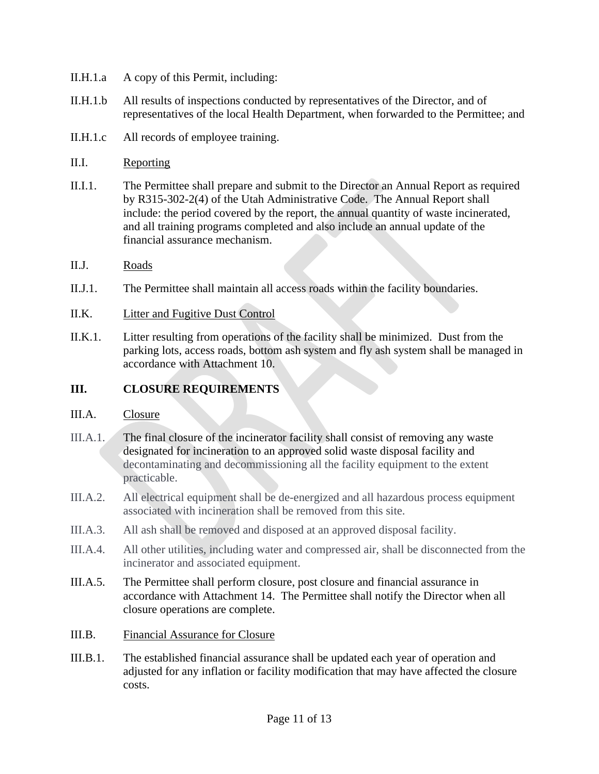- II.H.1.a A copy of this Permit, including:
- II.H.1.b All results of inspections conducted by representatives of the Director, and of representatives of the local Health Department, when forwarded to the Permittee; and
- II.H.1.c All records of employee training.

### II.I. Reporting

- II.I.1. The Permittee shall prepare and submit to the Director an Annual Report as required by R315-302-2(4) of the Utah Administrative Code. The Annual Report shall include: the period covered by the report, the annual quantity of waste incinerated, and all training programs completed and also include an annual update of the financial assurance mechanism.
- II.J. Roads
- II.J.1. The Permittee shall maintain all access roads within the facility boundaries.
- II.K. Litter and Fugitive Dust Control
- II.K.1. Litter resulting from operations of the facility shall be minimized. Dust from the parking lots, access roads, bottom ash system and fly ash system shall be managed in accordance with Attachment 10.

### **III. CLOSURE REQUIREMENTS**

### III.A. Closure

- III.A.1. The final closure of the incinerator facility shall consist of removing any waste designated for incineration to an approved solid waste disposal facility and decontaminating and decommissioning all the facility equipment to the extent practicable.
- III.A.2. All electrical equipment shall be de-energized and all hazardous process equipment associated with incineration shall be removed from this site.
- III.A.3. All ash shall be removed and disposed at an approved disposal facility.
- III.A.4. All other utilities, including water and compressed air, shall be disconnected from the incinerator and associated equipment.
- III.A.5. The Permittee shall perform closure, post closure and financial assurance in accordance with Attachment 14. The Permittee shall notify the Director when all closure operations are complete.
- III.B. Financial Assurance for Closure
- III.B.1. The established financial assurance shall be updated each year of operation and adjusted for any inflation or facility modification that may have affected the closure costs.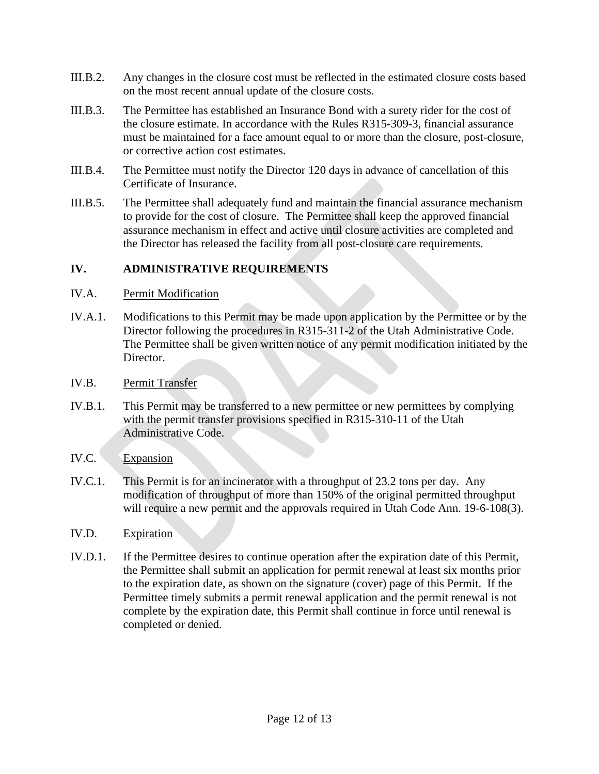- III.B.2. Any changes in the closure cost must be reflected in the estimated closure costs based on the most recent annual update of the closure costs.
- III.B.3. The Permittee has established an Insurance Bond with a surety rider for the cost of the closure estimate. In accordance with the Rules R315-309-3, financial assurance must be maintained for a face amount equal to or more than the closure, post-closure, or corrective action cost estimates.
- III.B.4. The Permittee must notify the Director 120 days in advance of cancellation of this Certificate of Insurance.
- III.B.5. The Permittee shall adequately fund and maintain the financial assurance mechanism to provide for the cost of closure. The Permittee shall keep the approved financial assurance mechanism in effect and active until closure activities are completed and the Director has released the facility from all post-closure care requirements.

### **IV. ADMINISTRATIVE REQUIREMENTS**

- IV.A. Permit Modification
- IV.A.1. Modifications to this Permit may be made upon application by the Permittee or by the Director following the procedures in R315-311-2 of the Utah Administrative Code. The Permittee shall be given written notice of any permit modification initiated by the Director.
- IV.B. Permit Transfer
- IV.B.1. This Permit may be transferred to a new permittee or new permittees by complying with the permit transfer provisions specified in R315-310-11 of the Utah Administrative Code.
- IV.C. Expansion
- IV.C.1. This Permit is for an incinerator with a throughput of 23.2 tons per day. Any modification of throughput of more than 150% of the original permitted throughput will require a new permit and the approvals required in Utah Code Ann. 19-6-108(3).
- IV.D. Expiration
- IV.D.1. If the Permittee desires to continue operation after the expiration date of this Permit, the Permittee shall submit an application for permit renewal at least six months prior to the expiration date, as shown on the signature (cover) page of this Permit. If the Permittee timely submits a permit renewal application and the permit renewal is not complete by the expiration date, this Permit shall continue in force until renewal is completed or denied.